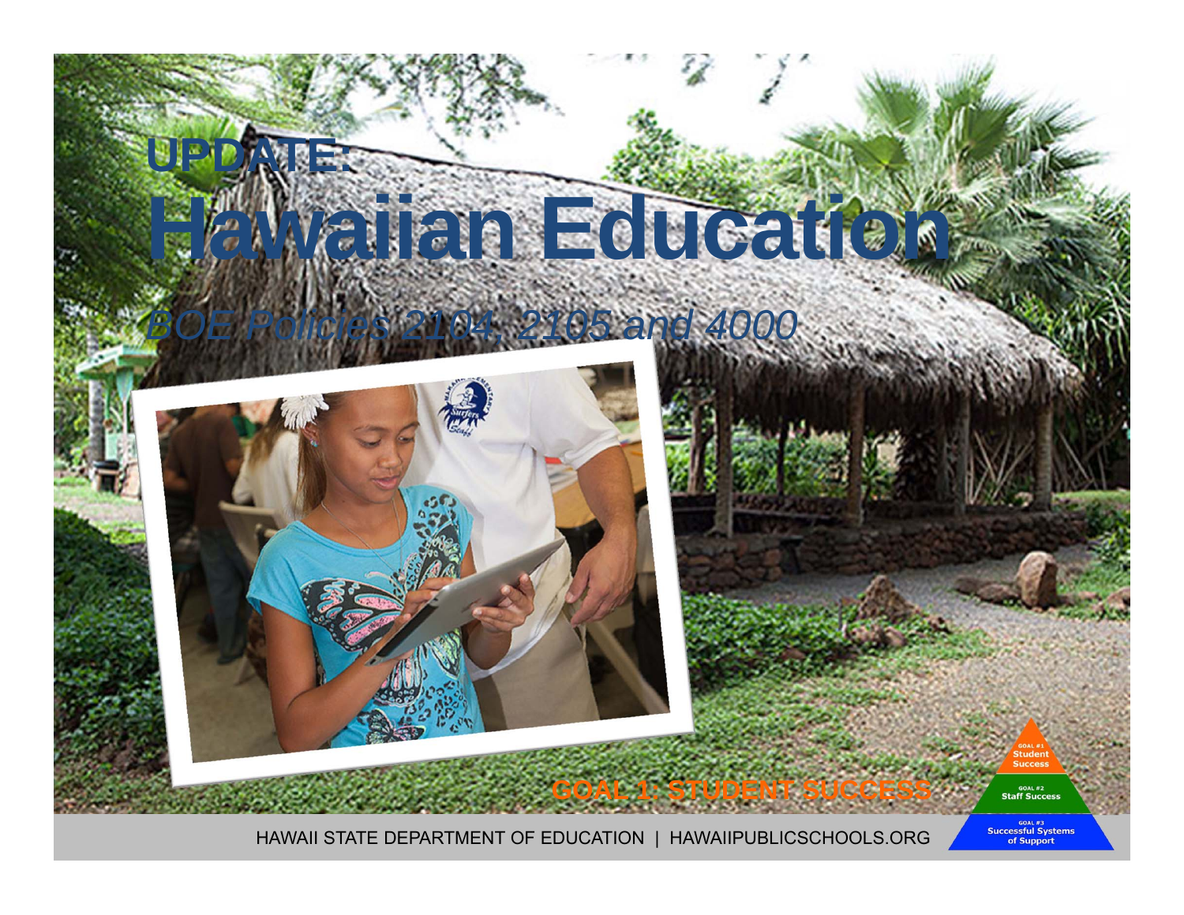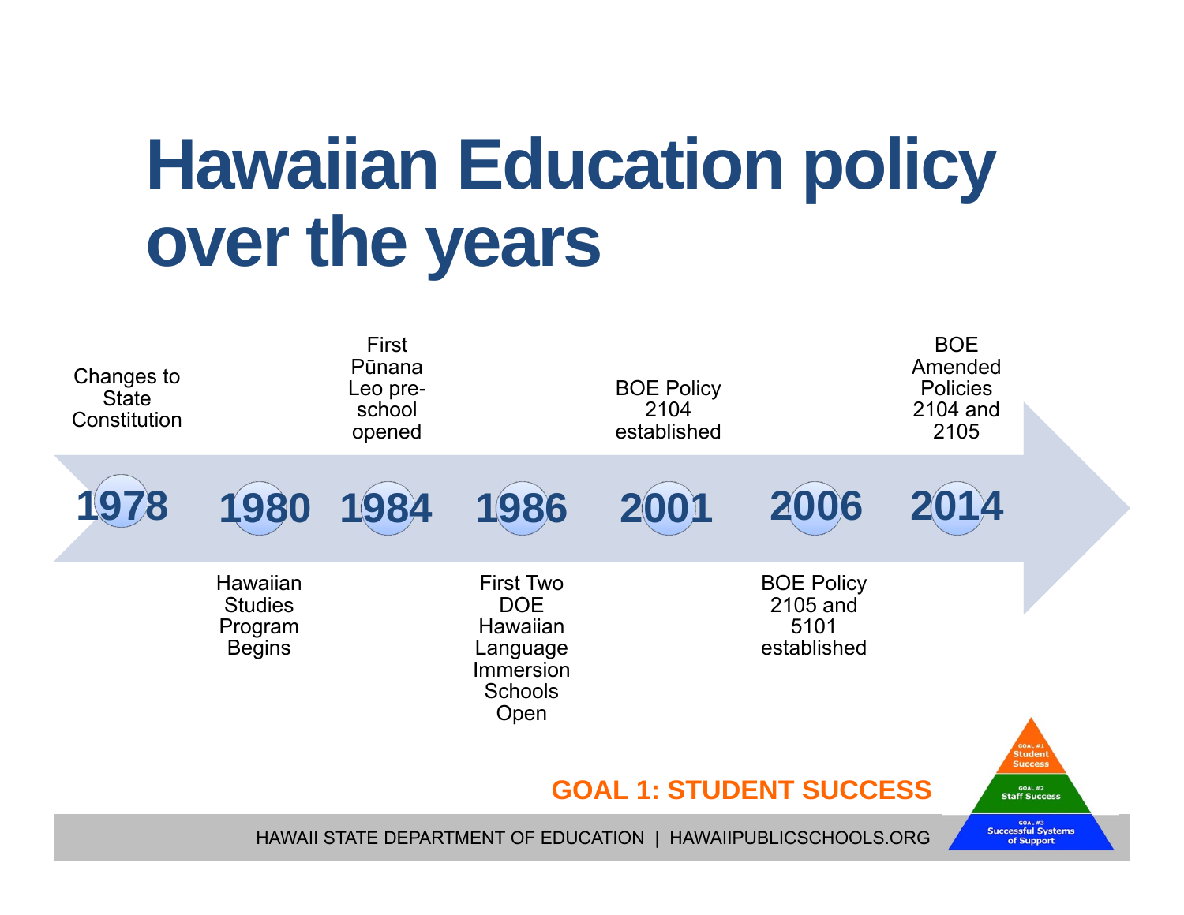## **Hawaiian Education policy over the years**

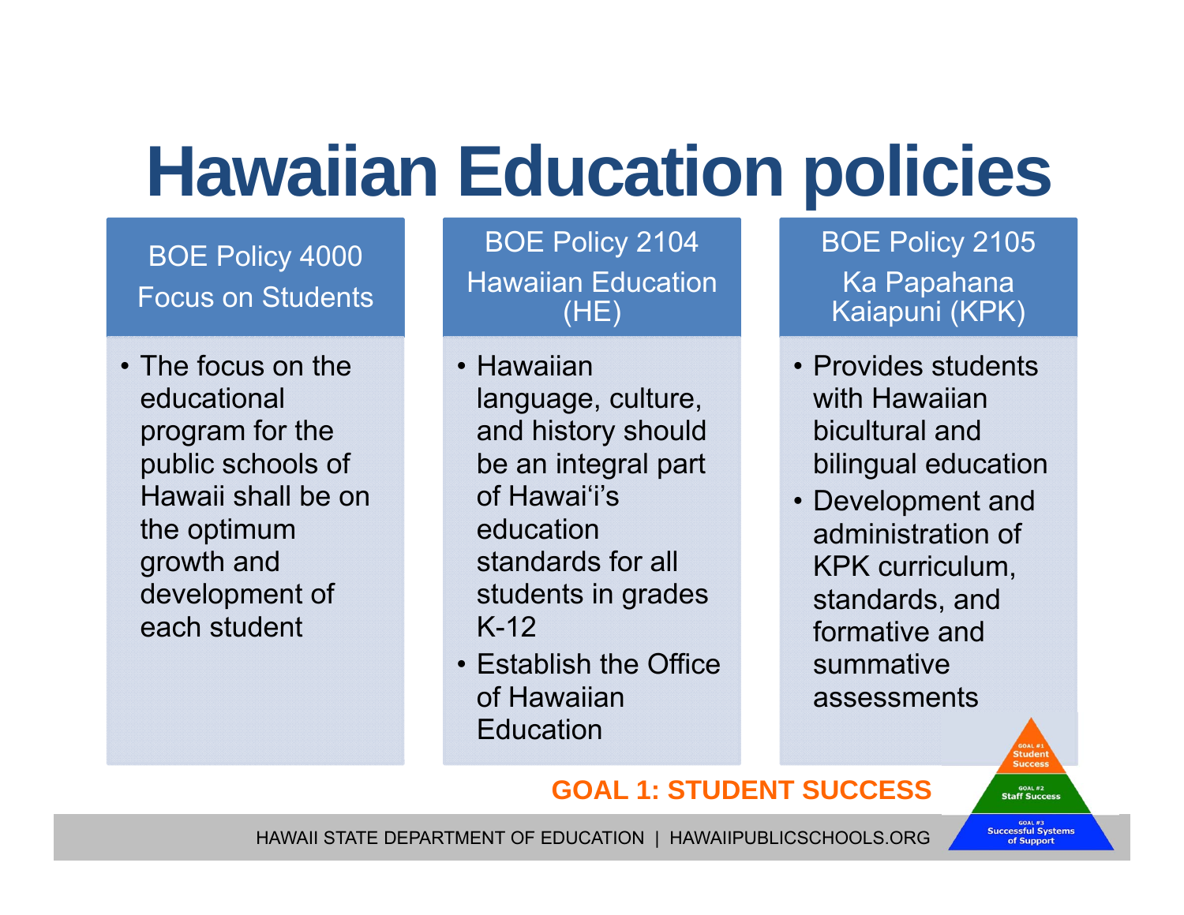## **Hawaiian Education policies**

BOE Policy 4000 Focus on Students

• The focus on the educational program for the public schools of Hawaii shall be on the optimum growth and development of each student

BOE Policy 2104 Hawaiian Education (HE)

- Hawaiian language, culture, and history should be an integral part of Hawai'i's education standards for all students in grades K-12
- Establish the Office of Hawaiian Education

BOE Policy 2105 Ka Papahana Kaiapuni (KPK)

- Provides students with Hawaiian bicultural and bilingual education
- Development and administration of KPK curriculum, standards, and formative and summative assessments

#### **GOAL 1: STUDENT SUCCESS**

HAWAII STATE DEPARTMENT OF EDUCATION | HAWAIIPUBLICSCHOOLS.ORG

<sup>GOAL #3</sup><br>Successful Systems of Support

GOAL #2<br>**Staff Success**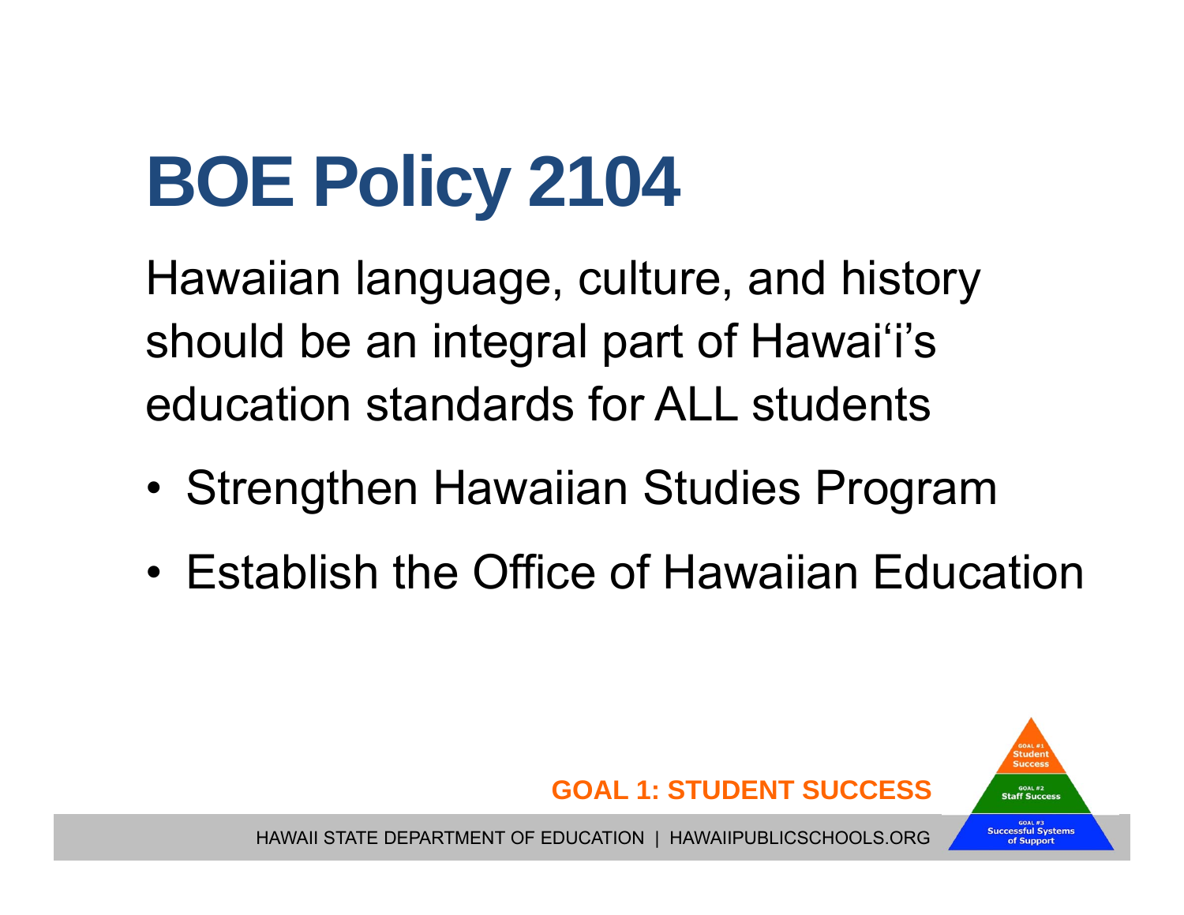# **BOE Policy 2104**

Hawaiian language, culture, and history should be an integral part of Hawai'i's education standards for ALL students

- •Strengthen Hawaiian Studies Program
- Establish the Office of Hawaiian Education

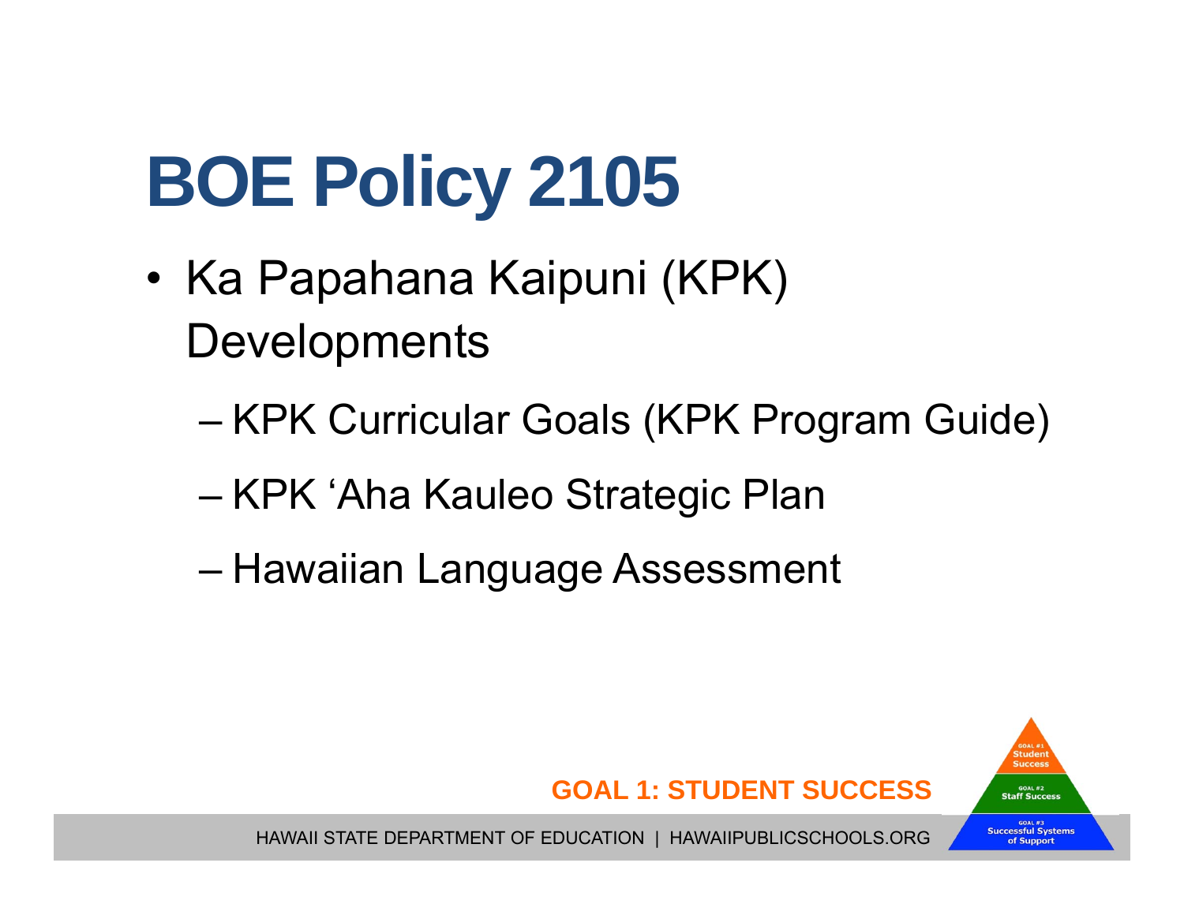# **BOE Policy 2105**

- • Ka Papahana Kaipuni (KPK) **Developments** 
	- KPK Curricular Goals (KPK Program Guide)
	- KPK <sup>ʻ</sup>Aha Kauleo Strategic Plan
	- Hawaiian Language Assessment

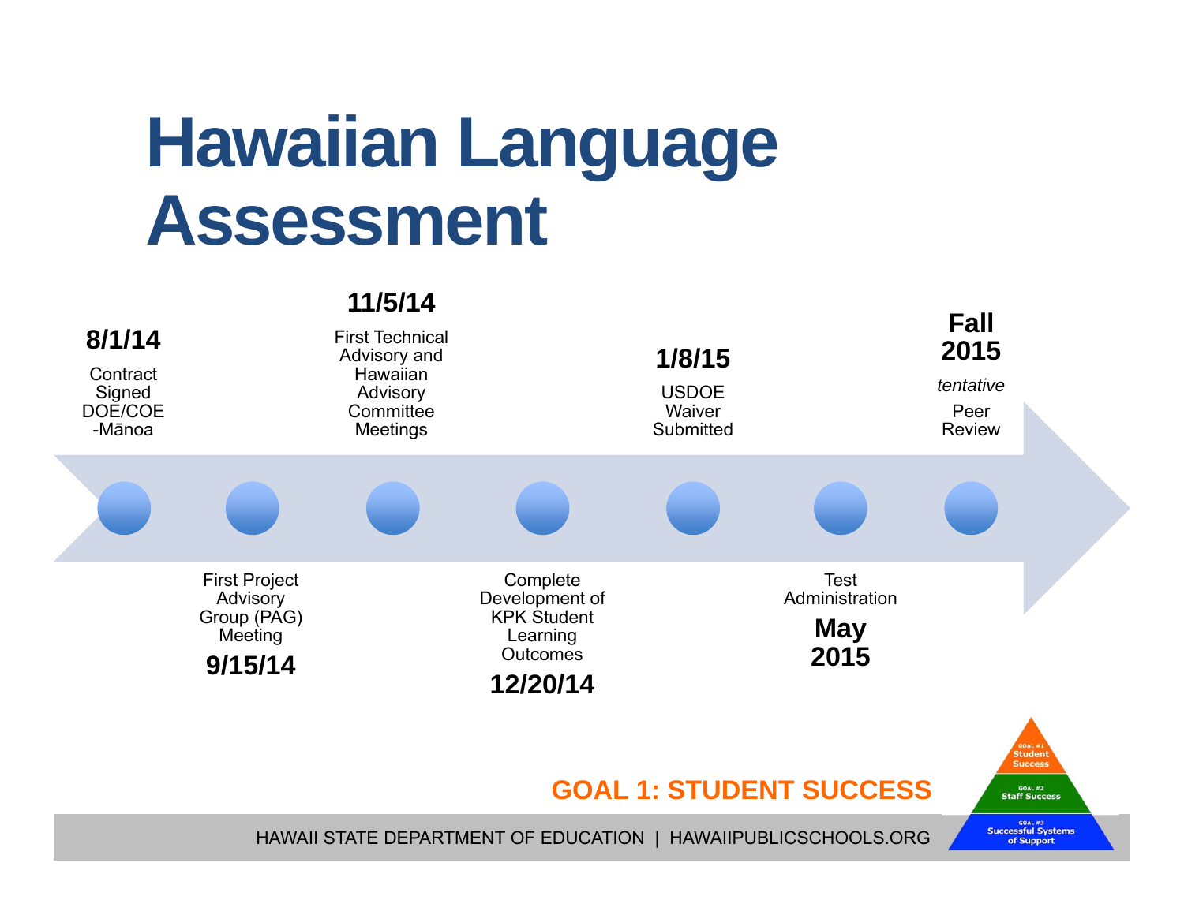#### **Hawaiian Language Assessment**

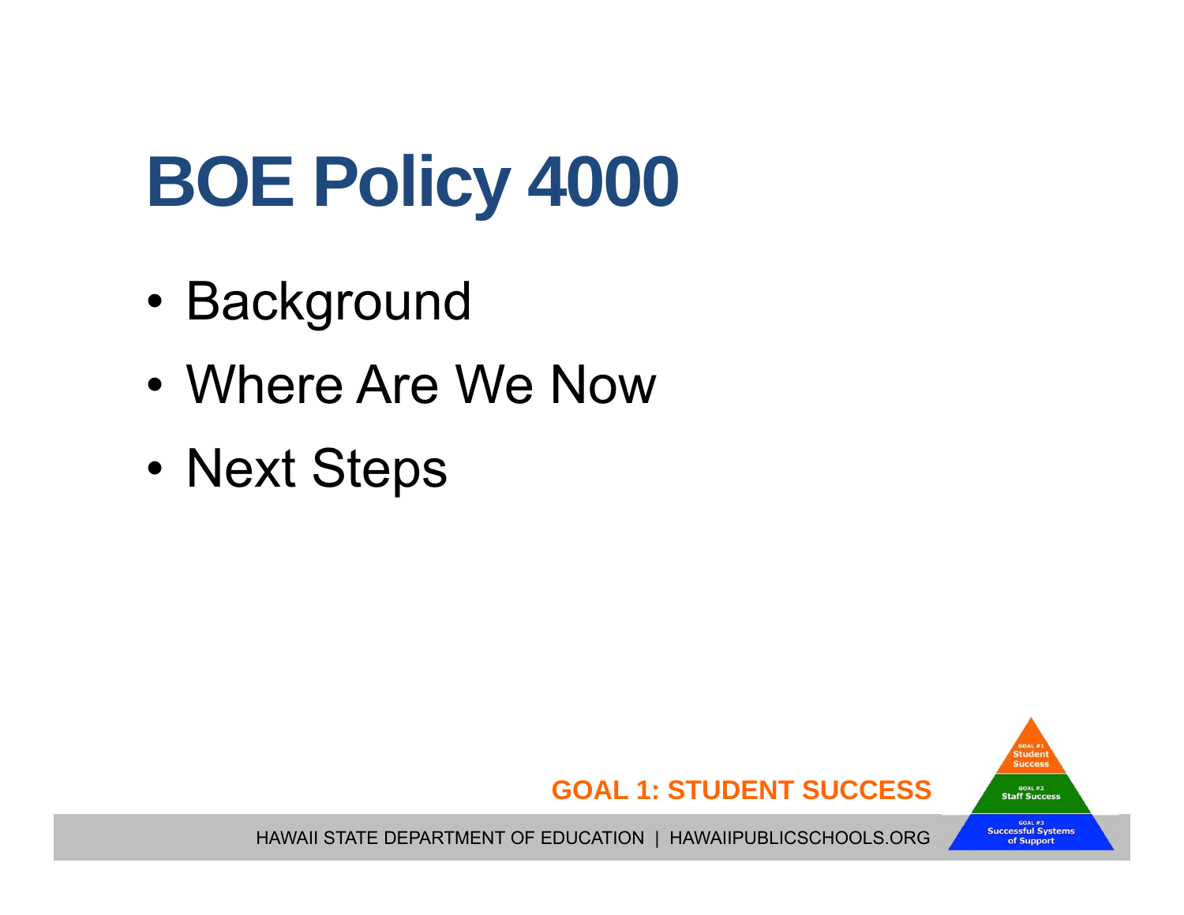# **BOE Policy 4000**

- •Background
- •Where Are We Now
- •Next Steps

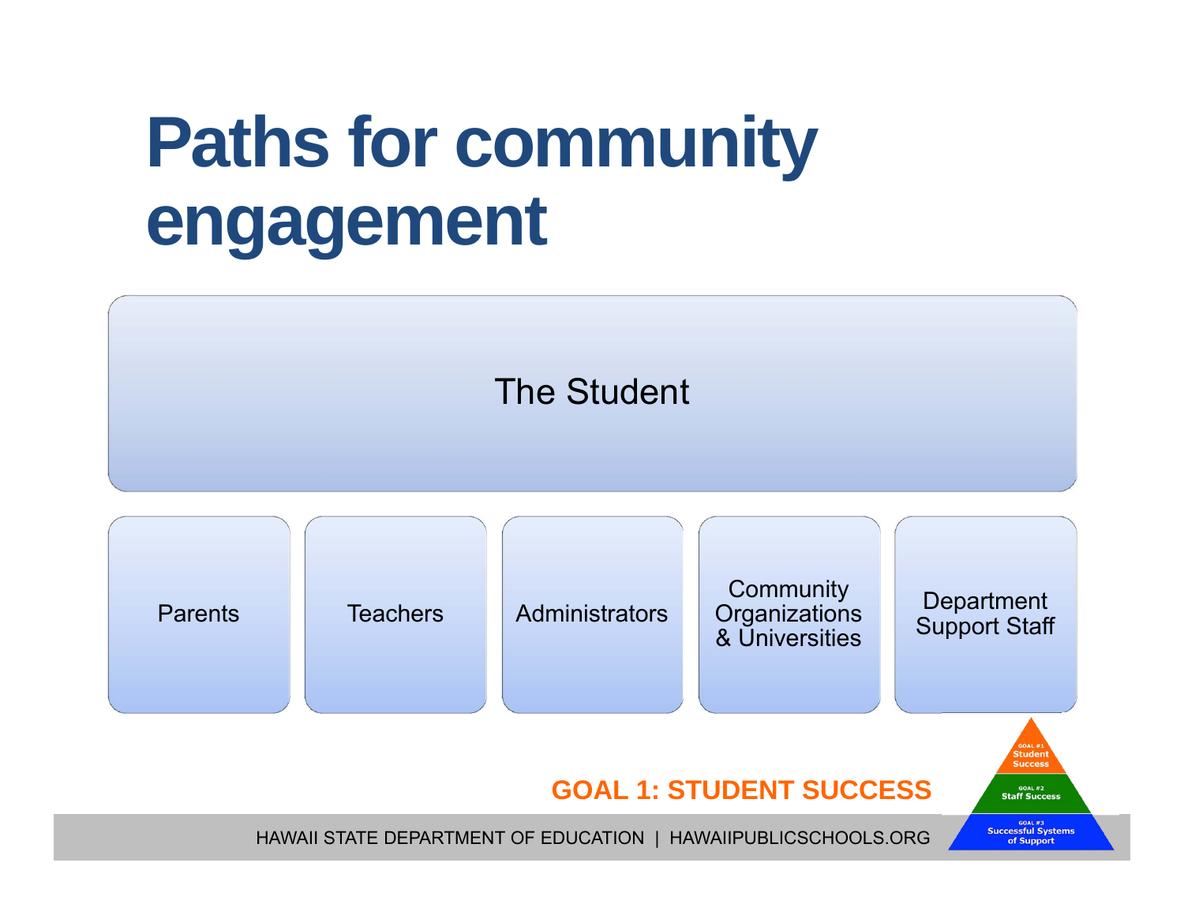### **Paths for community engagement**

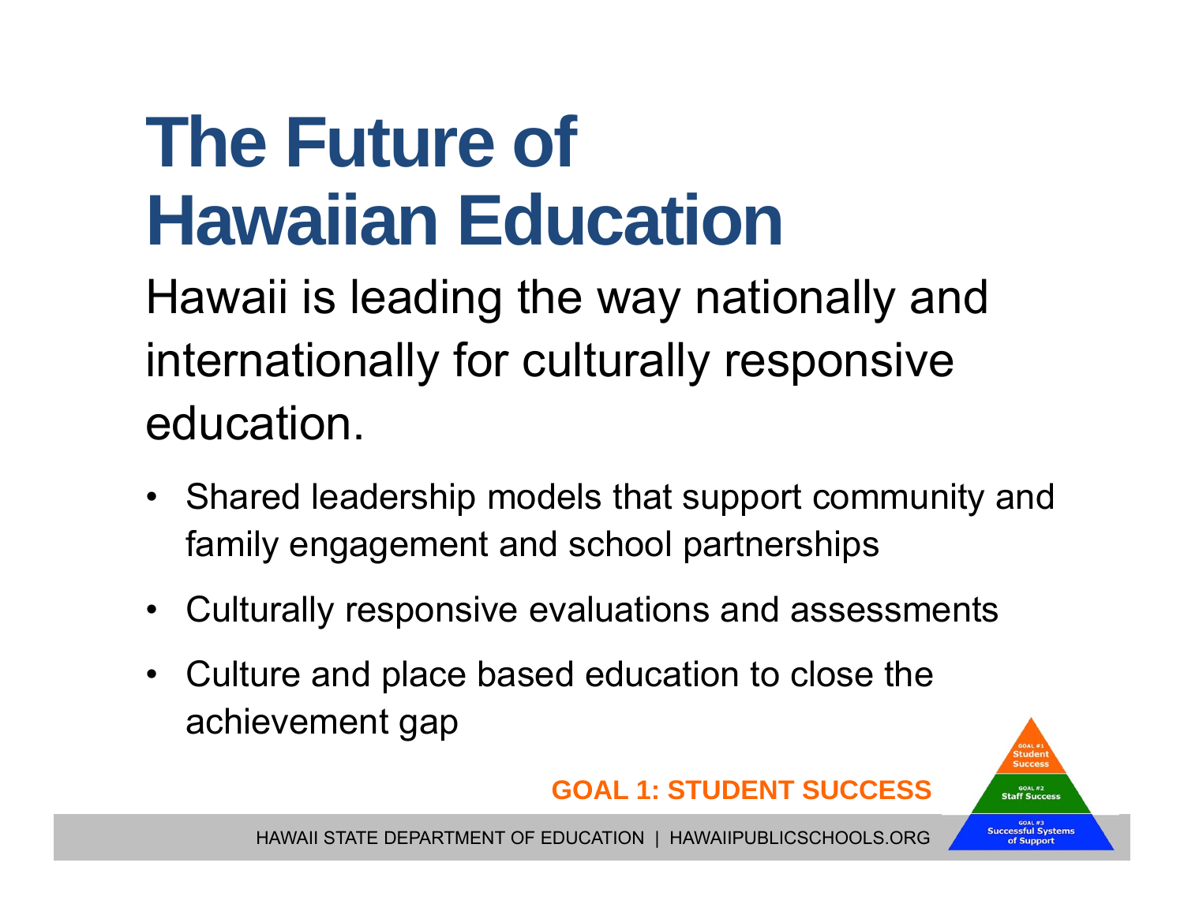## **The Future of Hawaiian Education**

Hawaii is leading the way nationally and internationally for culturally responsive education.

- Shared leadership models that support community and family engagement and school partnerships
- •Culturally responsive evaluations and assessments
- $\bullet$  Culture and place based education to close the achievement gap



HAWAII STATE DEPARTMENT OF EDUCATION | HAWAIIPUBLICSCHOOLS.ORG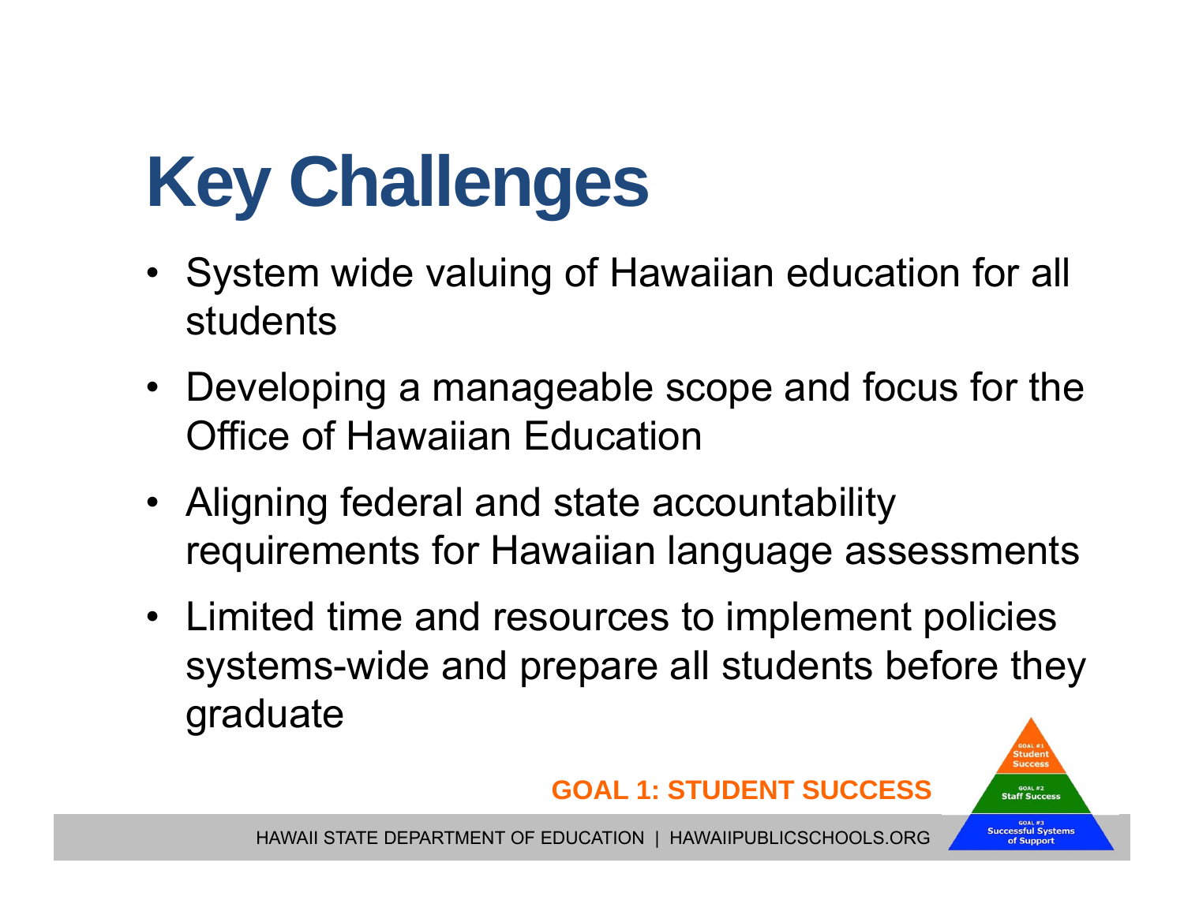# **Key Challenges**

- System wide valuing of Hawaiian education for all students
- Developing a manageable scope and focus for the Office of Hawaiian Education
- Aligning federal and state accountability requirements for Hawaiian language assessments
- Limited time and resources to implement policies systems-wide and prepare all students before they graduate



HAWAII STATE DEPARTMENT OF EDUCATION | HAWAIIPUBLICSCHOOLS.ORG